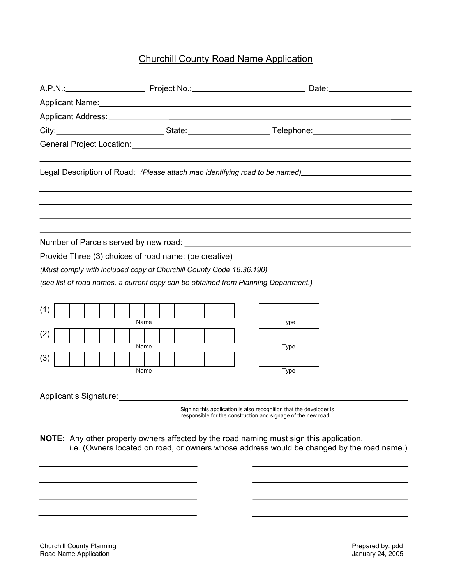## Churchill County Road Name Application

|                                                                                                                                                                                                                                |  |  |  |                                                       |  |  |      |  |  |  |  |  |  | A.P.N.: Date: Decree Project No.: 2008 No.: 2010 12: 2010 No.: 2010 12: 2010 No.: 2010 12: 2010 No.: 2010 12: 2010 12: 2010 12: 2010 12: 2010 12: 2010 12: 2010 12: 2010 12: 2010 12: 2010 12: 2010 12: 2010 12: 2010 12: 2010 |  |                                                                                                                                     |  |  |  |  |  |  |                                                                                                      |
|--------------------------------------------------------------------------------------------------------------------------------------------------------------------------------------------------------------------------------|--|--|--|-------------------------------------------------------|--|--|------|--|--|--|--|--|--|--------------------------------------------------------------------------------------------------------------------------------------------------------------------------------------------------------------------------------|--|-------------------------------------------------------------------------------------------------------------------------------------|--|--|--|--|--|--|------------------------------------------------------------------------------------------------------|
| Applicant Name: Name: Name and Applicant Name and Applicant Name and Applicant Name and Applicant Name and Applicant Name and Applicant Name and Applicant Name and Applicant Name and Applicant Name and Applicant Name and A |  |  |  |                                                       |  |  |      |  |  |  |  |  |  |                                                                                                                                                                                                                                |  |                                                                                                                                     |  |  |  |  |  |  |                                                                                                      |
|                                                                                                                                                                                                                                |  |  |  |                                                       |  |  |      |  |  |  |  |  |  |                                                                                                                                                                                                                                |  |                                                                                                                                     |  |  |  |  |  |  |                                                                                                      |
|                                                                                                                                                                                                                                |  |  |  |                                                       |  |  |      |  |  |  |  |  |  |                                                                                                                                                                                                                                |  |                                                                                                                                     |  |  |  |  |  |  |                                                                                                      |
|                                                                                                                                                                                                                                |  |  |  |                                                       |  |  |      |  |  |  |  |  |  |                                                                                                                                                                                                                                |  |                                                                                                                                     |  |  |  |  |  |  |                                                                                                      |
|                                                                                                                                                                                                                                |  |  |  |                                                       |  |  |      |  |  |  |  |  |  |                                                                                                                                                                                                                                |  |                                                                                                                                     |  |  |  |  |  |  | Legal Description of Road: (Please attach map identifying road to be named)_________________________ |
|                                                                                                                                                                                                                                |  |  |  |                                                       |  |  |      |  |  |  |  |  |  |                                                                                                                                                                                                                                |  |                                                                                                                                     |  |  |  |  |  |  |                                                                                                      |
|                                                                                                                                                                                                                                |  |  |  |                                                       |  |  |      |  |  |  |  |  |  |                                                                                                                                                                                                                                |  |                                                                                                                                     |  |  |  |  |  |  |                                                                                                      |
|                                                                                                                                                                                                                                |  |  |  |                                                       |  |  |      |  |  |  |  |  |  |                                                                                                                                                                                                                                |  |                                                                                                                                     |  |  |  |  |  |  |                                                                                                      |
|                                                                                                                                                                                                                                |  |  |  | Provide Three (3) choices of road name: (be creative) |  |  |      |  |  |  |  |  |  |                                                                                                                                                                                                                                |  |                                                                                                                                     |  |  |  |  |  |  |                                                                                                      |
| (Must comply with included copy of Churchill County Code 16.36.190)                                                                                                                                                            |  |  |  |                                                       |  |  |      |  |  |  |  |  |  |                                                                                                                                                                                                                                |  |                                                                                                                                     |  |  |  |  |  |  |                                                                                                      |
|                                                                                                                                                                                                                                |  |  |  |                                                       |  |  |      |  |  |  |  |  |  |                                                                                                                                                                                                                                |  | (see list of road names, a current copy can be obtained from Planning Department.)                                                  |  |  |  |  |  |  |                                                                                                      |
|                                                                                                                                                                                                                                |  |  |  |                                                       |  |  |      |  |  |  |  |  |  |                                                                                                                                                                                                                                |  |                                                                                                                                     |  |  |  |  |  |  |                                                                                                      |
| (1)                                                                                                                                                                                                                            |  |  |  |                                                       |  |  |      |  |  |  |  |  |  |                                                                                                                                                                                                                                |  |                                                                                                                                     |  |  |  |  |  |  |                                                                                                      |
|                                                                                                                                                                                                                                |  |  |  |                                                       |  |  | Name |  |  |  |  |  |  |                                                                                                                                                                                                                                |  | Type                                                                                                                                |  |  |  |  |  |  |                                                                                                      |
| (2)                                                                                                                                                                                                                            |  |  |  |                                                       |  |  |      |  |  |  |  |  |  |                                                                                                                                                                                                                                |  |                                                                                                                                     |  |  |  |  |  |  |                                                                                                      |
|                                                                                                                                                                                                                                |  |  |  |                                                       |  |  | Name |  |  |  |  |  |  |                                                                                                                                                                                                                                |  | Type                                                                                                                                |  |  |  |  |  |  |                                                                                                      |
| (3)                                                                                                                                                                                                                            |  |  |  |                                                       |  |  |      |  |  |  |  |  |  |                                                                                                                                                                                                                                |  |                                                                                                                                     |  |  |  |  |  |  |                                                                                                      |
|                                                                                                                                                                                                                                |  |  |  |                                                       |  |  | Name |  |  |  |  |  |  |                                                                                                                                                                                                                                |  | Type                                                                                                                                |  |  |  |  |  |  |                                                                                                      |
|                                                                                                                                                                                                                                |  |  |  |                                                       |  |  |      |  |  |  |  |  |  |                                                                                                                                                                                                                                |  |                                                                                                                                     |  |  |  |  |  |  |                                                                                                      |
|                                                                                                                                                                                                                                |  |  |  | Applicant's Signature: 1997                           |  |  |      |  |  |  |  |  |  |                                                                                                                                                                                                                                |  |                                                                                                                                     |  |  |  |  |  |  |                                                                                                      |
|                                                                                                                                                                                                                                |  |  |  |                                                       |  |  |      |  |  |  |  |  |  |                                                                                                                                                                                                                                |  | Signing this application is also recognition that the developer is<br>responsible for the construction and signage of the new road. |  |  |  |  |  |  |                                                                                                      |
|                                                                                                                                                                                                                                |  |  |  |                                                       |  |  |      |  |  |  |  |  |  |                                                                                                                                                                                                                                |  |                                                                                                                                     |  |  |  |  |  |  |                                                                                                      |
|                                                                                                                                                                                                                                |  |  |  |                                                       |  |  |      |  |  |  |  |  |  |                                                                                                                                                                                                                                |  | <b>NOTE:</b> Any other property owners affected by the road naming must sign this application.                                      |  |  |  |  |  |  |                                                                                                      |
|                                                                                                                                                                                                                                |  |  |  |                                                       |  |  |      |  |  |  |  |  |  |                                                                                                                                                                                                                                |  | i.e. (Owners located on road, or owners whose address would be changed by the road name.)                                           |  |  |  |  |  |  |                                                                                                      |
|                                                                                                                                                                                                                                |  |  |  |                                                       |  |  |      |  |  |  |  |  |  |                                                                                                                                                                                                                                |  |                                                                                                                                     |  |  |  |  |  |  |                                                                                                      |
|                                                                                                                                                                                                                                |  |  |  |                                                       |  |  |      |  |  |  |  |  |  |                                                                                                                                                                                                                                |  |                                                                                                                                     |  |  |  |  |  |  |                                                                                                      |
|                                                                                                                                                                                                                                |  |  |  |                                                       |  |  |      |  |  |  |  |  |  |                                                                                                                                                                                                                                |  |                                                                                                                                     |  |  |  |  |  |  |                                                                                                      |